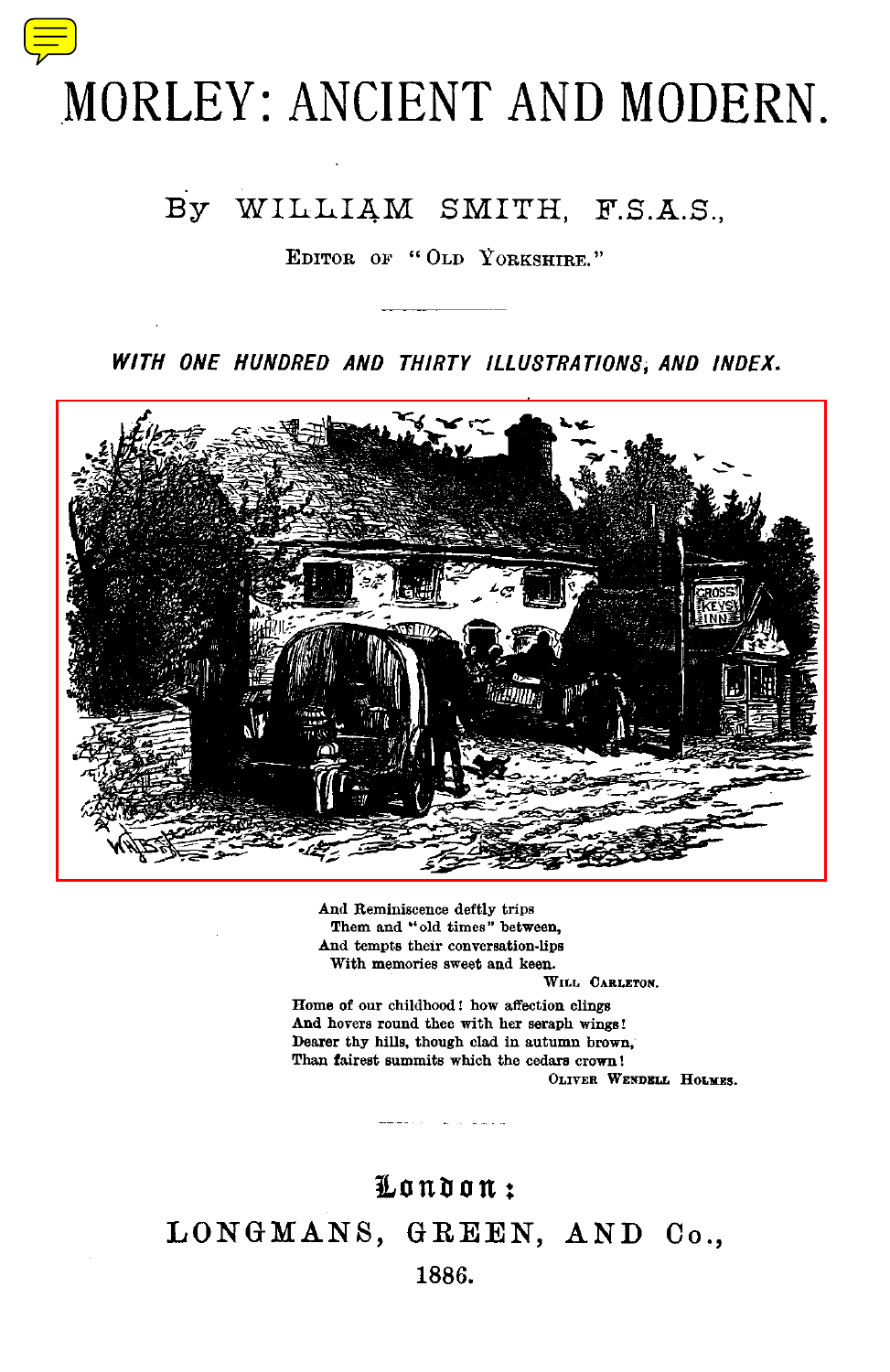

## By WILLIAM SMITH, F.S.A.S. ,

EDITOR OF "OLD YORKSHIRE."

*WITH ONE HUNDRED AND THIRTY ILLUSTRATIONS, AND INDEX.*



And Reminiscence deftly trips Them and "old times" between, And tempts their conversation-lips With memories sweet and keen.

WILL CARLETON.

Home of our childhood! how affection clings And hovers round thee with her seraph wings ! Dearer thy hills, though clad in autumn brown, Than fairest summits which the cedars crown ! OLIVER WENDELL HOLMES.

*London :* LONGMANS, GREEN, AND Co., 1886.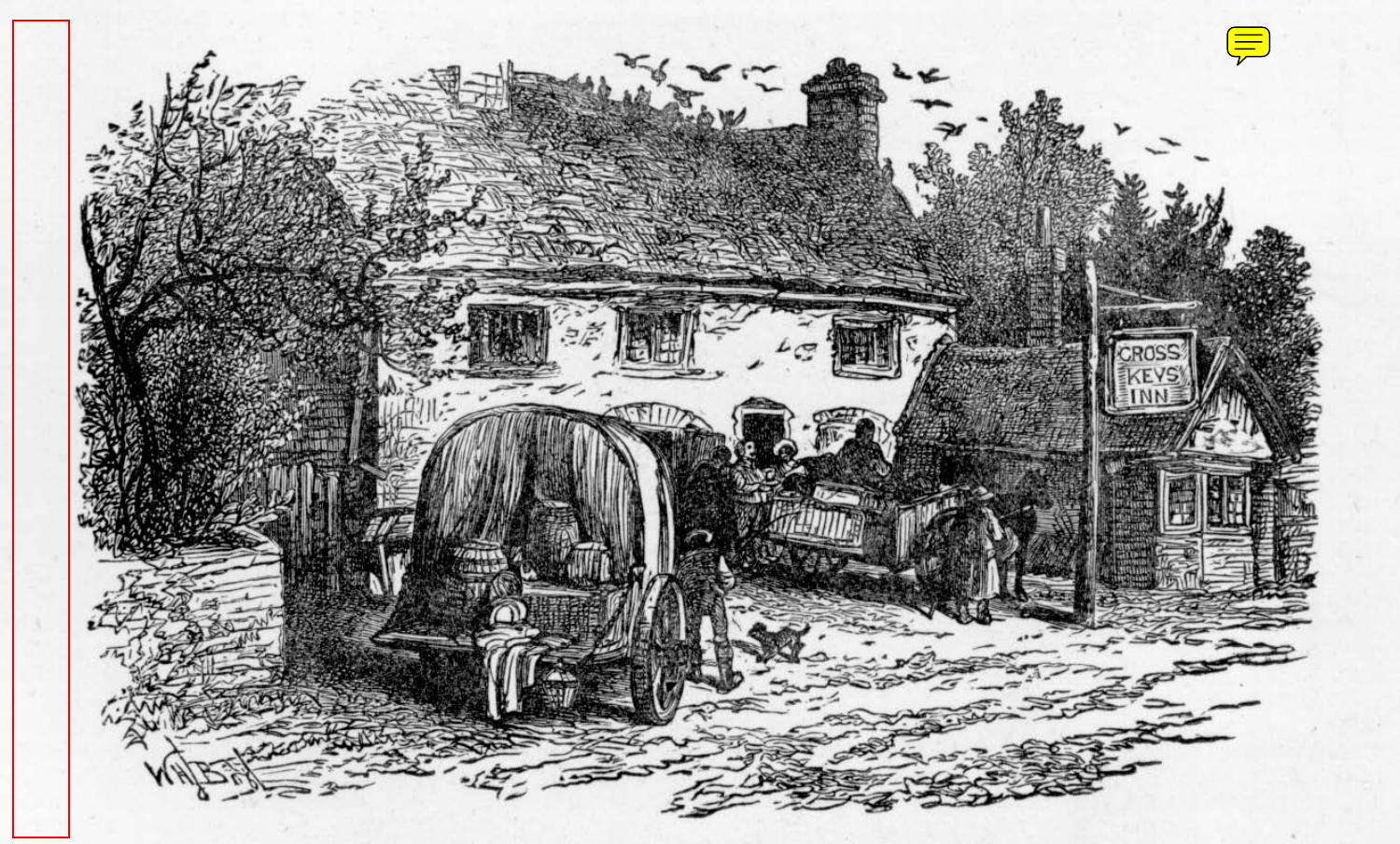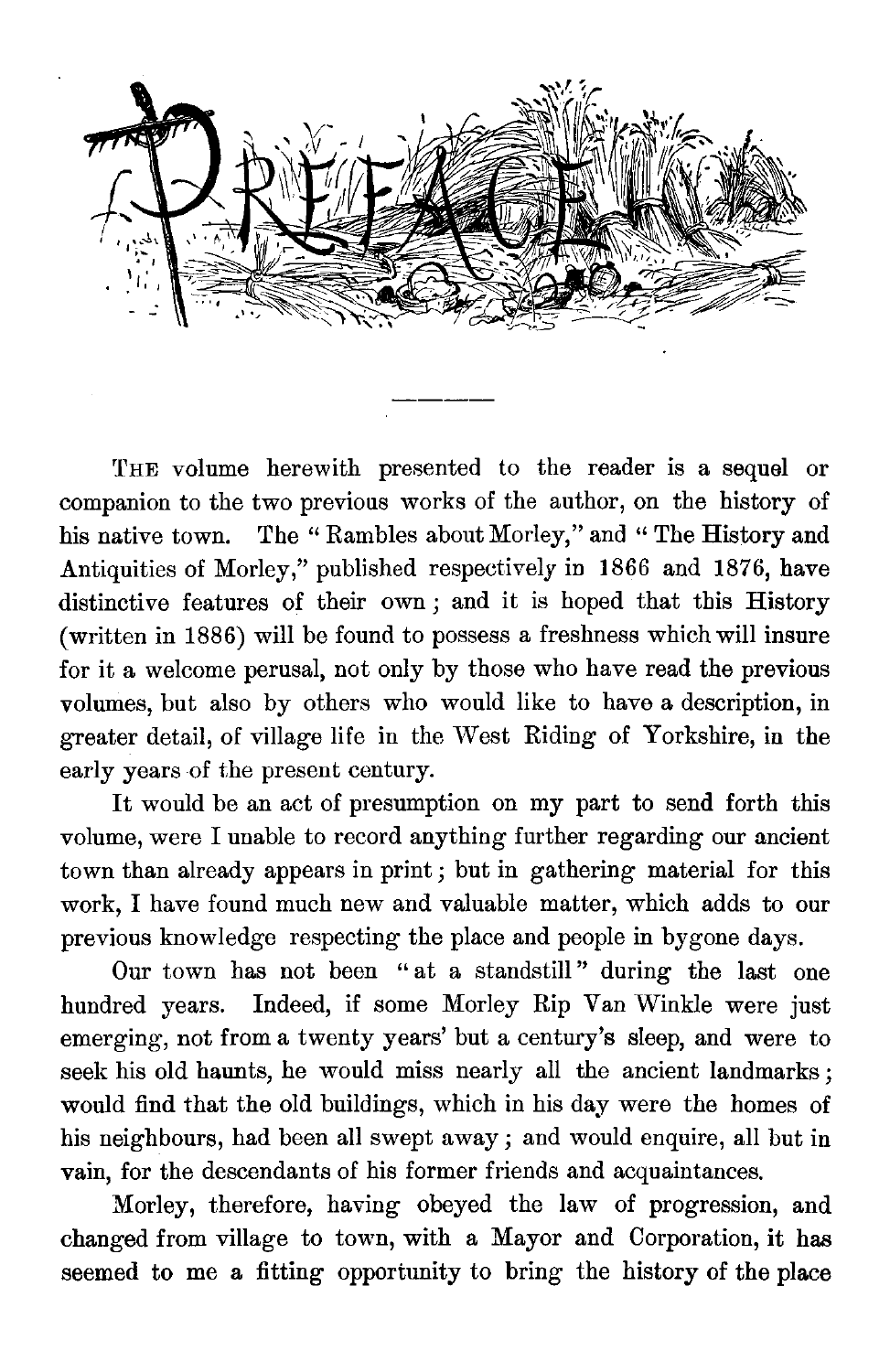THE volume herewith presented to the reader is a sequel or companion to the two previous works of the author, on the history of his native town. The "Rambles about Morley," and "The History and Antiquities of Morley," published respectively in 1866 and 1876, have distinctive features of their own ; and it is hoped that this History (written in 1886) will be found to possess a freshness which will insure for it a welcome perusal, not only by those who have read the previous volumes, but also by others who would like to have a description, in greater detail, of village life in the West Riding of Yorkshire, in the early years of the present century.

It would be an act of presumption on my part to send forth this volume, were I unable to record anything further regarding our ancient town than already appears in print ; but in gathering material for this work, I have found much new and valuable matter, which adds to our previous knowledge respecting the place and people in bygone days .

Our town has not been "at a standstill" during the last one hundred years. Indeed, if some Morley Rip Van Winkle were just emerging, not from a twenty years' but a century's sleep, and were to seek his old haunts, he would miss nearly all the ancient landmarks ; would find that the old buildings, which in his day were the homes of his neighbours, had been all swept away ; and would enquire, all but in vain, for the descendants of his former friends and acquaintances .

Morley, therefore, having obeyed the law of progression, and changed from village to town, with a Mayor and Corporation, it has seemed to me a fitting opportunity to bring the history of the place